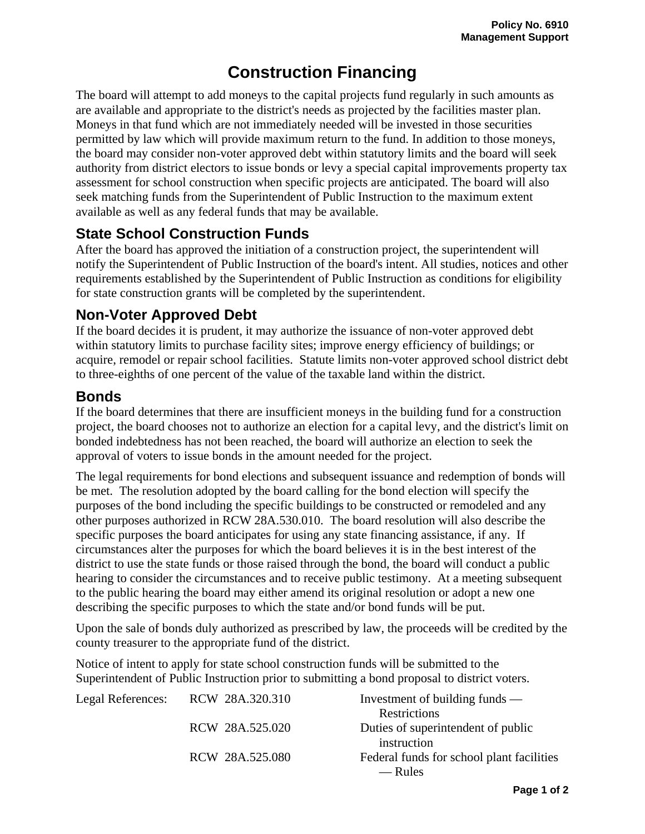## **Construction Financing**

The board will attempt to add moneys to the capital projects fund regularly in such amounts as are available and appropriate to the district's needs as projected by the facilities master plan. Moneys in that fund which are not immediately needed will be invested in those securities permitted by law which will provide maximum return to the fund. In addition to those moneys, the board may consider non-voter approved debt within statutory limits and the board will seek authority from district electors to issue bonds or levy a special capital improvements property tax assessment for school construction when specific projects are anticipated. The board will also seek matching funds from the Superintendent of Public Instruction to the maximum extent available as well as any federal funds that may be available.

## **State School Construction Funds**

After the board has approved the initiation of a construction project, the superintendent will notify the Superintendent of Public Instruction of the board's intent. All studies, notices and other requirements established by the Superintendent of Public Instruction as conditions for eligibility for state construction grants will be completed by the superintendent.

## **Non-Voter Approved Debt**

If the board decides it is prudent, it may authorize the issuance of non-voter approved debt within statutory limits to purchase facility sites; improve energy efficiency of buildings; or acquire, remodel or repair school facilities. Statute limits non-voter approved school district debt to three-eighths of one percent of the value of the taxable land within the district.

## **Bonds**

If the board determines that there are insufficient moneys in the building fund for a construction project, the board chooses not to authorize an election for a capital levy, and the district's limit on bonded indebtedness has not been reached, the board will authorize an election to seek the approval of voters to issue bonds in the amount needed for the project.

The legal requirements for bond elections and subsequent issuance and redemption of bonds will be met. The resolution adopted by the board calling for the bond election will specify the purposes of the bond including the specific buildings to be constructed or remodeled and any other purposes authorized in RCW 28A.530.010. The board resolution will also describe the specific purposes the board anticipates for using any state financing assistance, if any. If circumstances alter the purposes for which the board believes it is in the best interest of the district to use the state funds or those raised through the bond, the board will conduct a public hearing to consider the circumstances and to receive public testimony. At a meeting subsequent to the public hearing the board may either amend its original resolution or adopt a new one describing the specific purposes to which the state and/or bond funds will be put.

Upon the sale of bonds duly authorized as prescribed by law, the proceeds will be credited by the county treasurer to the appropriate fund of the district.

Notice of intent to apply for state school construction funds will be submitted to the Superintendent of Public Instruction prior to submitting a bond proposal to district voters.

| Legal References: | RCW 28A.320.310 | Investment of building funds $-$          |
|-------------------|-----------------|-------------------------------------------|
|                   |                 | Restrictions                              |
|                   | RCW 28A.525.020 | Duties of superintendent of public        |
|                   |                 | instruction                               |
|                   | RCW 28A.525.080 | Federal funds for school plant facilities |
|                   |                 | — Rules                                   |